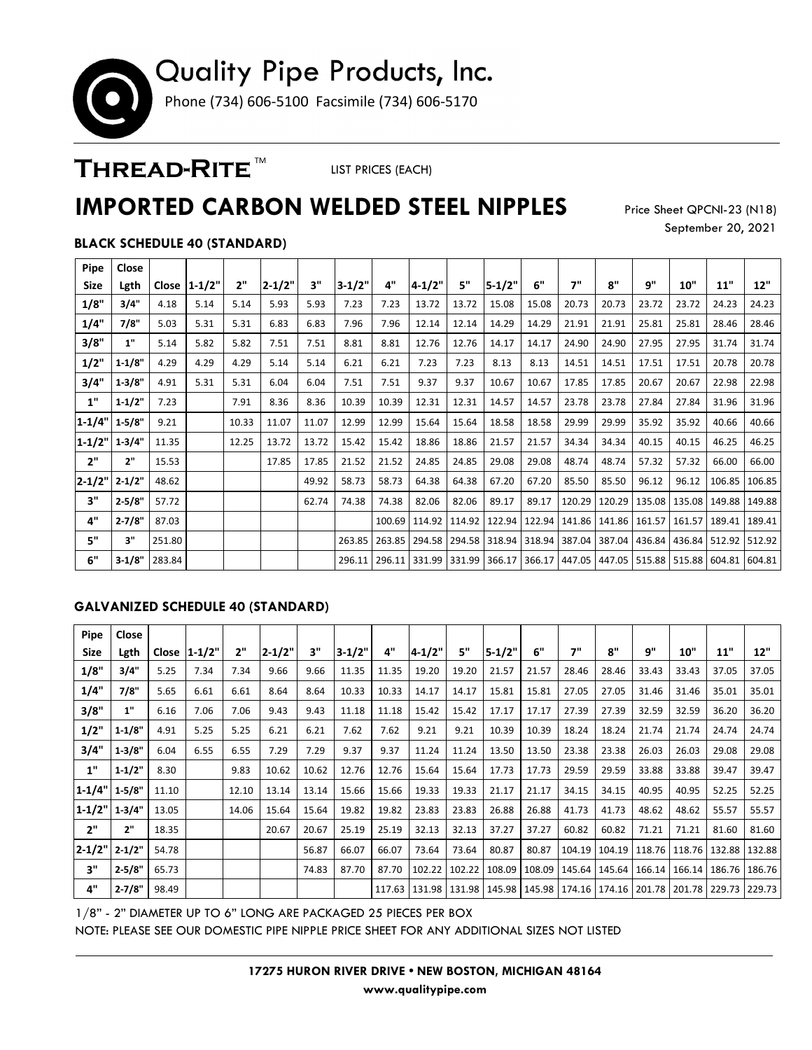# Quality Pipe Products, Inc. Phone (734) 606-5100 Facsimile (734) 606-5170

### THREAD-RITE<sup>™</sup>

LIST PRICES (EACH)

## **IMPORTED CARBON WELDED STEEL NIPPLES**

Price Sheet QPCNI-23 (N18) September 20, 2021

### **BLACK SCHEDULE 40 (STANDARD)**

| Pipe         | Close      |        |                |       |            |       |          |       |                                            |       |            |        |        |        |                                                                                     |       |                                   |        |
|--------------|------------|--------|----------------|-------|------------|-------|----------|-------|--------------------------------------------|-------|------------|--------|--------|--------|-------------------------------------------------------------------------------------|-------|-----------------------------------|--------|
| <b>Size</b>  | Lgth       |        | Close   1-1/2" | 2"    | $2 - 1/2"$ | 3"    | $3-1/2"$ | 4"    | $4 - 1/2"$                                 | 5"    | $5 - 1/2"$ | 6"     | 7"     | 8"     | 9"                                                                                  | 10"   | 11"                               | 12"    |
| 1/8"         | 3/4"       | 4.18   | 5.14           | 5.14  | 5.93       | 5.93  | 7.23     | 7.23  | 13.72                                      | 13.72 | 15.08      | 15.08  | 20.73  | 20.73  | 23.72                                                                               | 23.72 | 24.23                             | 24.23  |
| 1/4"         | 7/8"       | 5.03   | 5.31           | 5.31  | 6.83       | 6.83  | 7.96     | 7.96  | 12.14                                      | 12.14 | 14.29      | 14.29  | 21.91  | 21.91  | 25.81                                                                               | 25.81 | 28.46                             | 28.46  |
| 3/8"         | 1"         | 5.14   | 5.82           | 5.82  | 7.51       | 7.51  | 8.81     | 8.81  | 12.76                                      | 12.76 | 14.17      | 14.17  | 24.90  | 24.90  | 27.95                                                                               | 27.95 | 31.74                             | 31.74  |
| 1/2"         | $1 - 1/8"$ | 4.29   | 4.29           | 4.29  | 5.14       | 5.14  | 6.21     | 6.21  | 7.23                                       | 7.23  | 8.13       | 8.13   | 14.51  | 14.51  | 17.51                                                                               | 17.51 | 20.78                             | 20.78  |
| 3/4"         | $1 - 3/8"$ | 4.91   | 5.31           | 5.31  | 6.04       | 6.04  | 7.51     | 7.51  | 9.37                                       | 9.37  | 10.67      | 10.67  | 17.85  | 17.85  | 20.67                                                                               | 20.67 | 22.98                             | 22.98  |
| 1"           | $1 - 1/2"$ | 7.23   |                | 7.91  | 8.36       | 8.36  | 10.39    | 10.39 | 12.31                                      | 12.31 | 14.57      | 14.57  | 23.78  | 23.78  | 27.84                                                                               | 27.84 | 31.96                             | 31.96  |
| $ 1 - 1/4" $ | $1 - 5/8"$ | 9.21   |                | 10.33 | 11.07      | 11.07 | 12.99    | 12.99 | 15.64                                      | 15.64 | 18.58      | 18.58  | 29.99  | 29.99  | 35.92                                                                               | 35.92 | 40.66                             | 40.66  |
| $1 - 1/2"$   | $1-3/4"$   | 11.35  |                | 12.25 | 13.72      | 13.72 | 15.42    | 15.42 | 18.86                                      | 18.86 | 21.57      | 21.57  | 34.34  | 34.34  | 40.15                                                                               | 40.15 | 46.25                             | 46.25  |
| 2"           | 2"         | 15.53  |                |       | 17.85      | 17.85 | 21.52    | 21.52 | 24.85                                      | 24.85 | 29.08      | 29.08  | 48.74  | 48.74  | 57.32                                                                               | 57.32 | 66.00                             | 66.00  |
| $2 - 1/2"$   | $2 - 1/2"$ | 48.62  |                |       |            | 49.92 | 58.73    | 58.73 | 64.38                                      | 64.38 | 67.20      | 67.20  | 85.50  | 85.50  | 96.12                                                                               | 96.12 | 106.85                            | 106.85 |
| 3"           | $2 - 5/8"$ | 57.72  |                |       |            | 62.74 | 74.38    | 74.38 | 82.06                                      | 82.06 | 89.17      | 89.17  | 120.29 | 120.29 |                                                                                     |       | 135.08   135.08   149.88   149.88 |        |
| 4"           | $2 - 7/8"$ | 87.03  |                |       |            |       |          |       | 100.69   114.92   114.92   122.94          |       |            | 122.94 | 141.86 |        | 141.86 161.57 161.57 189.41                                                         |       |                                   | 189.41 |
| 5"           | 3"         | 251.80 |                |       |            |       |          |       |                                            |       |            |        |        |        | 263.85 263.85 294.58 294.58 318.94 318.94 387.04 387.04 436.84 436.84 512.92 512.92 |       |                                   |        |
| 6"           | $3-1/8"$   | 283.84 |                |       |            |       |          |       | 296.11   296.11   331.99   331.99   366.17 |       |            | 366.17 | 447.05 |        | 447.05   515.88   515.88   604.81   604.81                                          |       |                                   |        |

#### **GALVANIZED SCHEDULE 40 (STANDARD)**

| Pipe                | Close      |       |               |       |            |       |          |       |                                                                                         |        |            |        |               |                                   |        |        |        |        |
|---------------------|------------|-------|---------------|-------|------------|-------|----------|-------|-----------------------------------------------------------------------------------------|--------|------------|--------|---------------|-----------------------------------|--------|--------|--------|--------|
| <b>Size</b>         | Lgth       |       | Close  1-1/2" | 2"    | $2 - 1/2"$ | 3"    | $3-1/2"$ | 4"    | $4 - 1/2"$                                                                              | 5"     | $5 - 1/2"$ | 6"     | 7"            | 8"                                | q"     | 10"    | 11"    | 12"    |
| 1/8"                | 3/4"       | 5.25  | 7.34          | 7.34  | 9.66       | 9.66  | 11.35    | 11.35 | 19.20                                                                                   | 19.20  | 21.57      | 21.57  | 28.46         | 28.46                             | 33.43  | 33.43  | 37.05  | 37.05  |
| 1/4"                | 7/8"       | 5.65  | 6.61          | 6.61  | 8.64       | 8.64  | 10.33    | 10.33 | 14.17                                                                                   | 14.17  | 15.81      | 15.81  | 27.05         | 27.05                             | 31.46  | 31.46  | 35.01  | 35.01  |
| 3/8"                | 1"         | 6.16  | 7.06          | 7.06  | 9.43       | 9.43  | 11.18    | 11.18 | 15.42                                                                                   | 15.42  | 17.17      | 17.17  | 27.39         | 27.39                             | 32.59  | 32.59  | 36.20  | 36.20  |
| 1/2"                | 1.1/8"     | 4.91  | 5.25          | 5.25  | 6.21       | 6.21  | 7.62     | 7.62  | 9.21                                                                                    | 9.21   | 10.39      | 10.39  | 18.24         | 18.24                             | 21.74  | 21.74  | 24.74  | 24.74  |
| 3/4"                | $1 - 3/8"$ | 6.04  | 6.55          | 6.55  | 7.29       | 7.29  | 9.37     | 9.37  | 11.24                                                                                   | 11.24  | 13.50      | 13.50  | 23.38         | 23.38                             | 26.03  | 26.03  | 29.08  | 29.08  |
| 1"                  | 1.1/2"     | 8.30  |               | 9.83  | 10.62      | 10.62 | 12.76    | 12.76 | 15.64                                                                                   | 15.64  | 17.73      | 17.73  | 29.59         | 29.59                             | 33.88  | 33.88  | 39.47  | 39.47  |
| $1-1/4"$ 1-5/8"     |            | 11.10 |               | 12.10 | 13.14      | 13.14 | 15.66    | 15.66 | 19.33                                                                                   | 19.33  | 21.17      | 21.17  | 34.15         | 34.15                             | 40.95  | 40.95  | 52.25  | 52.25  |
| $1 - 1/2"$          | 1.3/4"     | 13.05 |               | 14.06 | 15.64      | 15.64 | 19.82    | 19.82 | 23.83                                                                                   | 23.83  | 26.88      | 26.88  | 41.73         | 41.73                             | 48.62  | 48.62  | 55.57  | 55.57  |
| 2"                  | 2"         | 18.35 |               |       | 20.67      | 20.67 | 25.19    | 25.19 | 32.13                                                                                   | 32.13  | 37.27      | 37.27  | 60.82         | 60.82                             | 71.21  | 71.21  | 81.60  | 81.60  |
| $2 - 1/2" 2 - 1/2"$ |            | 54.78 |               |       |            | 56.87 | 66.07    | 66.07 | 73.64                                                                                   | 73.64  | 80.87      | 80.87  |               | 104.19   104.19   118.76   118.76 |        |        | 132.88 | 132.88 |
| 3"                  | $2 - 5/8"$ | 65.73 |               |       |            | 74.83 | 87.70    | 87.70 | 102.22                                                                                  | 102.22 | 108.09     | 108.09 | 145.64 145.64 |                                   | 166.14 | 166.14 | 186.76 | 186.76 |
| 4"                  | $2 - 7/8"$ | 98.49 |               |       |            |       |          |       | 117.63   131.98   131.98   145.98   145.98   174.16   174.16   201.78   201.78   229.73 |        |            |        |               |                                   |        |        |        | 229.73 |

1/8" - 2" DIAMETER UP TO 6" LONG ARE PACKAGED 25 PIECES PER BOX

NOTE: PLEASE SEE OUR DOMESTIC PIPE NIPPLE PRICE SHEET FOR ANY ADDITIONAL SIZES NOT LISTED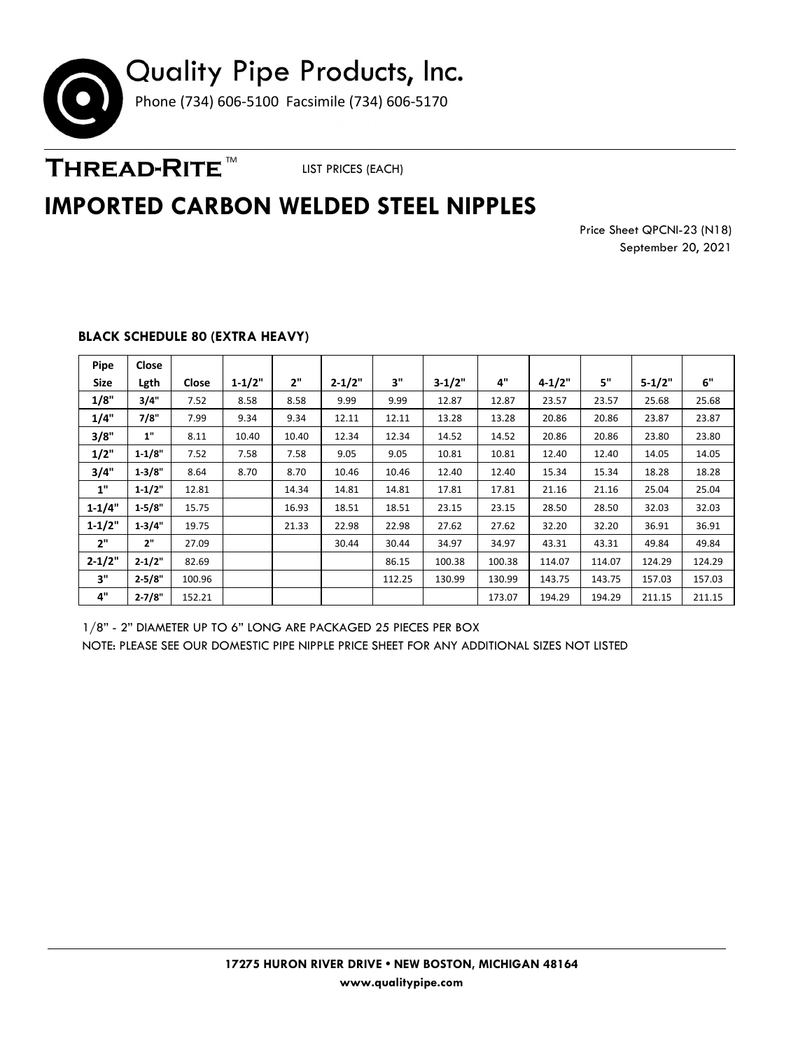

THREAD-RITE<sup>™</sup>

LIST PRICES (EACH)

### **IMPORTED CARBON WELDED STEEL NIPPLES**

Price Sheet QPCNI-23 (N18) September 20, 2021

| Pipe       | Close      |        |            |       |            |        |            |        |            |        |            |        |
|------------|------------|--------|------------|-------|------------|--------|------------|--------|------------|--------|------------|--------|
|            |            |        |            | 2"    |            |        |            | 4"     |            |        |            | 6"     |
| Size       | Lgth       | Close  | $1 - 1/2"$ |       | $2 - 1/2"$ | 3"     | $3 - 1/2"$ |        | $4 - 1/2"$ | 5"     | $5 - 1/2"$ |        |
| 1/8"       | 3/4"       | 7.52   | 8.58       | 8.58  | 9.99       | 9.99   | 12.87      | 12.87  | 23.57      | 23.57  | 25.68      | 25.68  |
| 1/4"       | 7/8"       | 7.99   | 9.34       | 9.34  | 12.11      | 12.11  | 13.28      | 13.28  | 20.86      | 20.86  | 23.87      | 23.87  |
| 3/8"       | 1"         | 8.11   | 10.40      | 10.40 | 12.34      | 12.34  | 14.52      | 14.52  | 20.86      | 20.86  | 23.80      | 23.80  |
| 1/2"       | $1 - 1/8"$ | 7.52   | 7.58       | 7.58  | 9.05       | 9.05   | 10.81      | 10.81  | 12.40      | 12.40  | 14.05      | 14.05  |
| 3/4"       | 1.3/8"     | 8.64   | 8.70       | 8.70  | 10.46      | 10.46  | 12.40      | 12.40  | 15.34      | 15.34  | 18.28      | 18.28  |
| 1"         | $1 - 1/2"$ | 12.81  |            | 14.34 | 14.81      | 14.81  | 17.81      | 17.81  | 21.16      | 21.16  | 25.04      | 25.04  |
| $1 - 1/4"$ | $1 - 5/8"$ | 15.75  |            | 16.93 | 18.51      | 18.51  | 23.15      | 23.15  | 28.50      | 28.50  | 32.03      | 32.03  |
| $1 - 1/2"$ | $1 - 3/4"$ | 19.75  |            | 21.33 | 22.98      | 22.98  | 27.62      | 27.62  | 32.20      | 32.20  | 36.91      | 36.91  |
| 2"         | 2"         | 27.09  |            |       | 30.44      | 30.44  | 34.97      | 34.97  | 43.31      | 43.31  | 49.84      | 49.84  |
| $2 - 1/2"$ | $2 - 1/2"$ | 82.69  |            |       |            | 86.15  | 100.38     | 100.38 | 114.07     | 114.07 | 124.29     | 124.29 |
| 3"         | $2 - 5/8"$ | 100.96 |            |       |            | 112.25 | 130.99     | 130.99 | 143.75     | 143.75 | 157.03     | 157.03 |
| 4"         | $2 - 7/8"$ | 152.21 |            |       |            |        |            | 173.07 | 194.29     | 194.29 | 211.15     | 211.15 |

### **BLACK SCHEDULE 80 (EXTRA HEAVY)**

1/8" - 2" DIAMETER UP TO 6" LONG ARE PACKAGED 25 PIECES PER BOX NOTE: PLEASE SEE OUR DOMESTIC PIPE NIPPLE PRICE SHEET FOR ANY ADDITIONAL SIZES NOT LISTED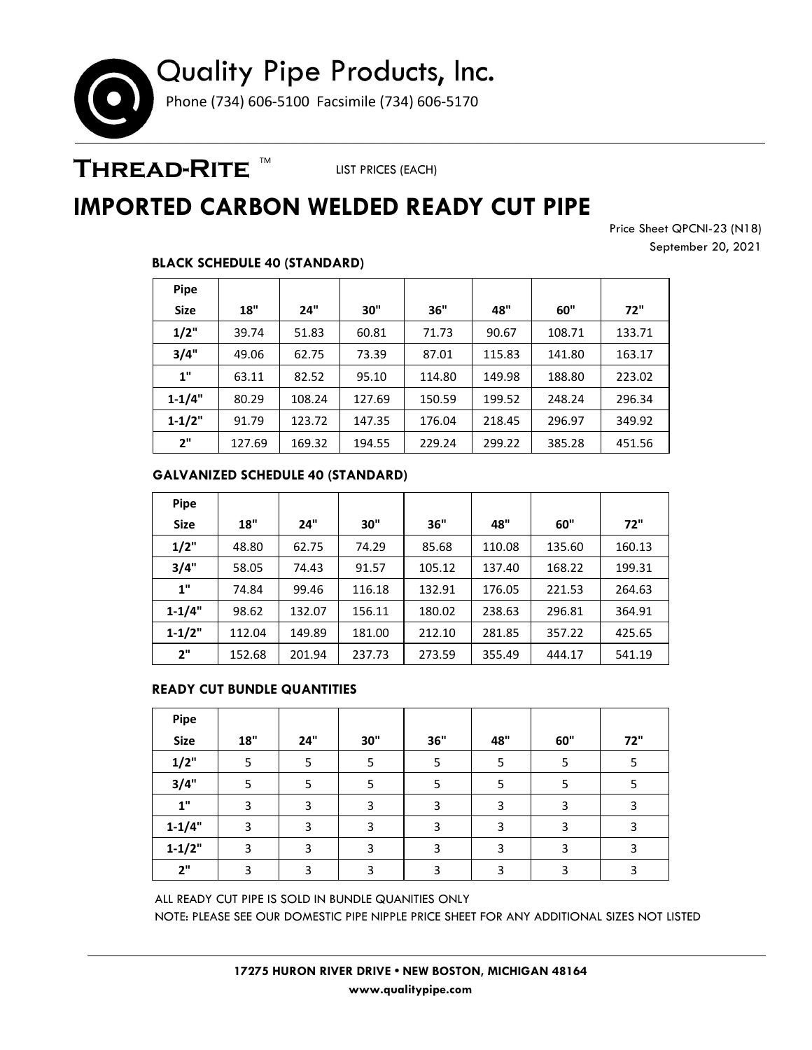# Quality Pipe Products, Inc. Phone (734) 606-5100 Facsimile (734) 606-5170

### THREAD-RITE ™

LIST PRICES (EACH)

# **IMPORTED CARBON WELDED READY CUT PIPE**

Price Sheet QPCNI-23 (N18) September 20, 2021

### **BLACK SCHEDULE 40 (STANDARD)**

| <b>Pipe</b> |        |        |        |        |        |        |        |
|-------------|--------|--------|--------|--------|--------|--------|--------|
| <b>Size</b> | 18"    | 24"    | 30"    | 36"    | 48"    | 60"    | 72"    |
| 1/2"        | 39.74  | 51.83  | 60.81  | 71.73  | 90.67  | 108.71 | 133.71 |
| 3/4"        | 49.06  | 62.75  | 73.39  | 87.01  | 115.83 | 141.80 | 163.17 |
| 1"          | 63.11  | 82.52  | 95.10  | 114.80 | 149.98 | 188.80 | 223.02 |
| $1 - 1/4"$  | 80.29  | 108.24 | 127.69 | 150.59 | 199.52 | 248.24 | 296.34 |
| $1 - 1/2"$  | 91.79  | 123.72 | 147.35 | 176.04 | 218.45 | 296.97 | 349.92 |
| 2"          | 127.69 | 169.32 | 194.55 | 229.24 | 299.22 | 385.28 | 451.56 |

### **GALVANIZED SCHEDULE 40 (STANDARD)**

| <b>Pipe</b> |        |        |        |        |        |        |        |
|-------------|--------|--------|--------|--------|--------|--------|--------|
| <b>Size</b> | 18"    | 24"    | 30"    | 36"    | 48"    | 60"    | 72"    |
| 1/2"        | 48.80  | 62.75  | 74.29  | 85.68  | 110.08 | 135.60 | 160.13 |
| 3/4"        | 58.05  | 74.43  | 91.57  | 105.12 | 137.40 | 168.22 | 199.31 |
| 1"          | 74.84  | 99.46  | 116.18 | 132.91 | 176.05 | 221.53 | 264.63 |
| $1 - 1/4"$  | 98.62  | 132.07 | 156.11 | 180.02 | 238.63 | 296.81 | 364.91 |
| $1 - 1/2"$  | 112.04 | 149.89 | 181.00 | 212.10 | 281.85 | 357.22 | 425.65 |
| 2"          | 152.68 | 201.94 | 237.73 | 273.59 | 355.49 | 444.17 | 541.19 |

#### **READY CUT BUNDLE QUANTITIES**

| Pipe                      |     |     |     |     |     |     |     |
|---------------------------|-----|-----|-----|-----|-----|-----|-----|
| <b>Size</b>               | 18" | 24" | 30" | 36" | 48" | 60" | 72" |
| 1/2"                      | 5   | 5   | 5   |     | 5   | 5   |     |
| 3/4"                      | 5   | 5   | 5   |     | 5   |     |     |
| $\mathbf{1}^{\mathrm{u}}$ | 3   | 3   | 3   | 3   | 3   | 3   | 3   |
| $1 - 1/4"$                | 3   | 3   | 3   | 3   | 3   | 3   | 3   |
| $1 - 1/2"$                | 3   | 3   | 3   | 3   | 3   | 3   | 3   |
| 2"                        | 3   | 3   | 3   | э   | ς   | 3   | 3   |

ALL READY CUT PIPE IS SOLD IN BUNDLE QUANITIES ONLY NOTE: PLEASE SEE OUR DOMESTIC PIPE NIPPLE PRICE SHEET FOR ANY ADDITIONAL SIZES NOT LISTED